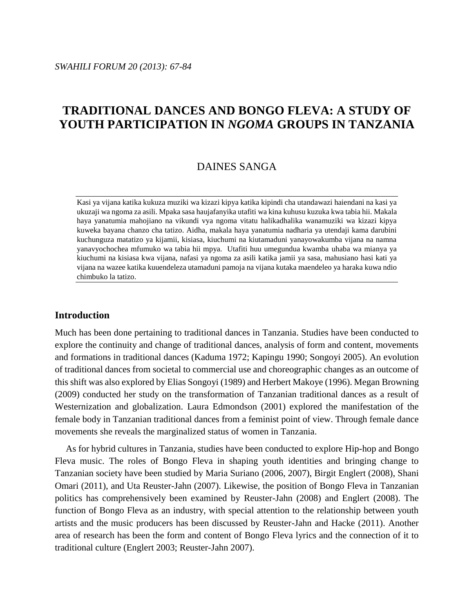# **TRADITIONAL DANCES AND BONGO FLEVA: A STUDY OF YOUTH PARTICIPATION IN** *NGOMA* **GROUPS IN TANZANIA**

# DAINES SANGA

Kasi ya vijana katika kukuza muziki wa kizazi kipya katika kipindi cha utandawazi haiendani na kasi ya ukuzaji wa ngoma za asili. Mpaka sasa haujafanyika utafiti wa kina kuhusu kuzuka kwa tabia hii. Makala haya yanatumia mahojiano na vikundi vya ngoma vitatu halikadhalika wanamuziki wa kizazi kipya kuweka bayana chanzo cha tatizo. Aidha, makala haya yanatumia nadharia ya utendaji kama darubini kuchunguza matatizo ya kijamii, kisiasa, kiuchumi na kiutamaduni yanayowakumba vijana na namna yanavyochochea mfumuko wa tabia hii mpya. Utafiti huu umegundua kwamba uhaba wa mianya ya kiuchumi na kisiasa kwa vijana, nafasi ya ngoma za asili katika jamii ya sasa, mahusiano hasi kati ya vijana na wazee katika kuuendeleza utamaduni pamoja na vijana kutaka maendeleo ya haraka kuwa ndio chimbuko la tatizo.

# **Introduction**

Much has been done pertaining to traditional dances in Tanzania. Studies have been conducted to explore the continuity and change of traditional dances, analysis of form and content, movements and formations in traditional dances (Kaduma 1972; Kapingu 1990; Songoyi 2005). An evolution of traditional dances from societal to commercial use and choreographic changes as an outcome of this shift was also explored by Elias Songoyi (1989) and Herbert Makoye (1996). Megan Browning (2009) conducted her study on the transformation of Tanzanian traditional dances as a result of Westernization and globalization. Laura Edmondson (2001) explored the manifestation of the female body in Tanzanian traditional dances from a feminist point of view. Through female dance movements she reveals the marginalized status of women in Tanzania.

As for hybrid cultures in Tanzania, studies have been conducted to explore Hip-hop and Bongo Fleva music. The roles of Bongo Fleva in shaping youth identities and bringing change to Tanzanian society have been studied by Maria Suriano (2006, 2007), Birgit Englert (2008), Shani Omari (2011), and Uta Reuster-Jahn (2007). Likewise, the position of Bongo Fleva in Tanzanian politics has comprehensively been examined by Reuster-Jahn (2008) and Englert (2008). The function of Bongo Fleva as an industry, with special attention to the relationship between youth artists and the music producers has been discussed by Reuster-Jahn and Hacke (2011). Another area of research has been the form and content of Bongo Fleva lyrics and the connection of it to traditional culture (Englert 2003; Reuster-Jahn 2007).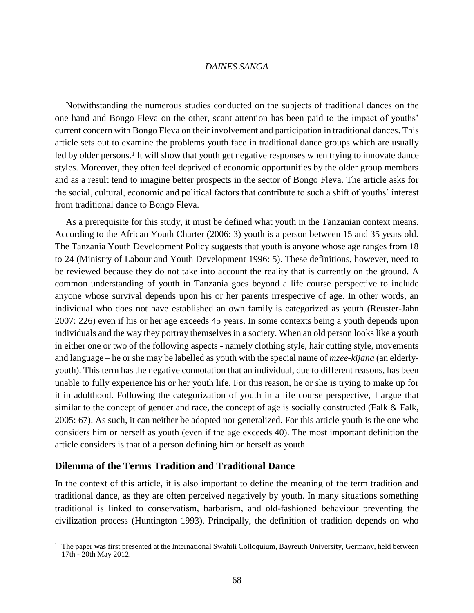Notwithstanding the numerous studies conducted on the subjects of traditional dances on the one hand and Bongo Fleva on the other, scant attention has been paid to the impact of youths' current concern with Bongo Fleva on their involvement and participation in traditional dances. This article sets out to examine the problems youth face in traditional dance groups which are usually led by older persons.<sup>1</sup> It will show that youth get negative responses when trying to innovate dance styles. Moreover, they often feel deprived of economic opportunities by the older group members and as a result tend to imagine better prospects in the sector of Bongo Fleva. The article asks for the social, cultural, economic and political factors that contribute to such a shift of youths' interest from traditional dance to Bongo Fleva.

As a prerequisite for this study, it must be defined what youth in the Tanzanian context means. According to the African Youth Charter (2006: 3) youth is a person between 15 and 35 years old. The Tanzania Youth Development Policy suggests that youth is anyone whose age ranges from 18 to 24 (Ministry of Labour and Youth Development 1996: 5). These definitions, however, need to be reviewed because they do not take into account the reality that is currently on the ground. A common understanding of youth in Tanzania goes beyond a life course perspective to include anyone whose survival depends upon his or her parents irrespective of age. In other words, an individual who does not have established an own family is categorized as youth (Reuster-Jahn 2007: 226) even if his or her age exceeds 45 years. In some contexts being a youth depends upon individuals and the way they portray themselves in a society. When an old person looks like a youth in either one or two of the following aspects - namely clothing style, hair cutting style, movements and language – he or she may be labelled as youth with the special name of *mzee-kijana* (an elderlyyouth). This term has the negative connotation that an individual, due to different reasons, has been unable to fully experience his or her youth life. For this reason, he or she is trying to make up for it in adulthood. Following the categorization of youth in a life course perspective, I argue that similar to the concept of gender and race, the concept of age is socially constructed (Falk  $\&$  Falk, 2005: 67). As such, it can neither be adopted nor generalized. For this article youth is the one who considers him or herself as youth (even if the age exceeds 40). The most important definition the article considers is that of a person defining him or herself as youth.

### **Dilemma of the Terms Tradition and Traditional Dance**

 $\overline{a}$ 

In the context of this article, it is also important to define the meaning of the term tradition and traditional dance, as they are often perceived negatively by youth. In many situations something traditional is linked to conservatism, barbarism, and old-fashioned behaviour preventing the civilization process (Huntington 1993). Principally, the definition of tradition depends on who

<sup>&</sup>lt;sup>1</sup> The paper was first presented at the International Swahili Colloquium, Bayreuth University, Germany, held between 17th - 20th May 2012.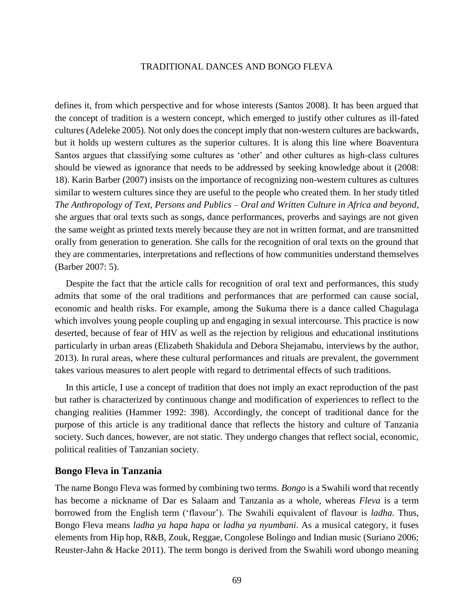defines it, from which perspective and for whose interests (Santos 2008). It has been argued that the concept of tradition is a western concept, which emerged to justify other cultures as ill-fated cultures (Adeleke 2005). Not only does the concept imply that non-western cultures are backwards, but it holds up western cultures as the superior cultures. It is along this line where Boaventura Santos argues that classifying some cultures as 'other' and other cultures as high-class cultures should be viewed as ignorance that needs to be addressed by seeking knowledge about it (2008: 18). Karin Barber (2007) insists on the importance of recognizing non-western cultures as cultures similar to western cultures since they are useful to the people who created them. In her study titled *The Anthropology of Text, Persons and Publics – Oral and Written Culture in Africa and beyond*, she argues that oral texts such as songs, dance performances, proverbs and sayings are not given the same weight as printed texts merely because they are not in written format, and are transmitted orally from generation to generation. She calls for the recognition of oral texts on the ground that they are commentaries, interpretations and reflections of how communities understand themselves (Barber 2007: 5).

Despite the fact that the article calls for recognition of oral text and performances, this study admits that some of the oral traditions and performances that are performed can cause social, economic and health risks. For example, among the Sukuma there is a dance called Chagulaga which involves young people coupling up and engaging in sexual intercourse. This practice is now deserted, because of fear of HIV as well as the rejection by religious and educational institutions particularly in urban areas (Elizabeth Shakidula and Debora Shejamabu, interviews by the author, 2013). In rural areas, where these cultural performances and rituals are prevalent, the government takes various measures to alert people with regard to detrimental effects of such traditions.

In this article, I use a concept of tradition that does not imply an exact reproduction of the past but rather is characterized by continuous change and modification of experiences to reflect to the changing realities (Hammer 1992: 398). Accordingly, the concept of traditional dance for the purpose of this article is any traditional dance that reflects the history and culture of Tanzania society. Such dances, however, are not static. They undergo changes that reflect social, economic, political realities of Tanzanian society.

#### **Bongo Fleva in Tanzania**

The name Bongo Fleva was formed by combining two terms. *Bongo* is a Swahili word that recently has become a nickname of Dar es Salaam and Tanzania as a whole, whereas *Fleva* is a term borrowed from the English term ('flavour'). The Swahili equivalent of flavour is *ladha*. Thus, Bongo Fleva means *ladha ya hapa hapa* or *ladha ya nyumbani*. As a musical category, it fuses elements from Hip hop, R&B, Zouk, Reggae, Congolese Bolingo and Indian music (Suriano 2006; Reuster-Jahn & Hacke 2011). The term bongo is derived from the Swahili word ubongo meaning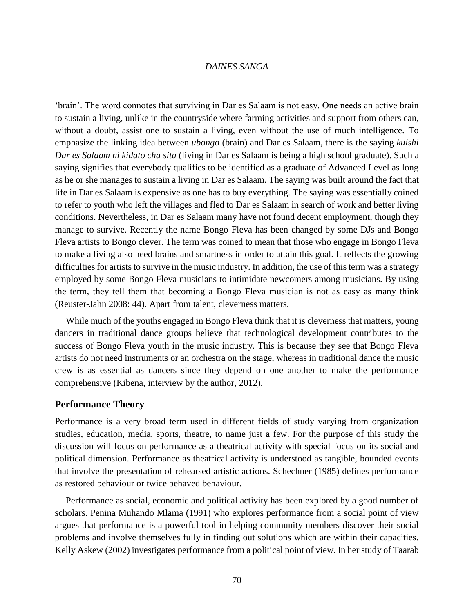'brain'. The word connotes that surviving in Dar es Salaam is not easy. One needs an active brain to sustain a living, unlike in the countryside where farming activities and support from others can, without a doubt, assist one to sustain a living, even without the use of much intelligence. To emphasize the linking idea between *ubongo* (brain) and Dar es Salaam, there is the saying *kuishi Dar es Salaam ni kidato cha sita* (living in Dar es Salaam is being a high school graduate). Such a saying signifies that everybody qualifies to be identified as a graduate of Advanced Level as long as he or she manages to sustain a living in Dar es Salaam. The saying was built around the fact that life in Dar es Salaam is expensive as one has to buy everything. The saying was essentially coined to refer to youth who left the villages and fled to Dar es Salaam in search of work and better living conditions. Nevertheless, in Dar es Salaam many have not found decent employment, though they manage to survive. Recently the name Bongo Fleva has been changed by some DJs and Bongo Fleva artists to Bongo clever. The term was coined to mean that those who engage in Bongo Fleva to make a living also need brains and smartness in order to attain this goal. It reflects the growing difficulties for artists to survive in the music industry. In addition, the use of this term was a strategy employed by some Bongo Fleva musicians to intimidate newcomers among musicians. By using the term, they tell them that becoming a Bongo Fleva musician is not as easy as many think (Reuster-Jahn 2008: 44). Apart from talent, cleverness matters.

While much of the youths engaged in Bongo Fleva think that it is cleverness that matters, young dancers in traditional dance groups believe that technological development contributes to the success of Bongo Fleva youth in the music industry. This is because they see that Bongo Fleva artists do not need instruments or an orchestra on the stage, whereas in traditional dance the music crew is as essential as dancers since they depend on one another to make the performance comprehensive (Kibena, interview by the author, 2012).

### **Performance Theory**

Performance is a very broad term used in different fields of study varying from organization studies, education, media, sports, theatre, to name just a few. For the purpose of this study the discussion will focus on performance as a theatrical activity with special focus on its social and political dimension. Performance as theatrical activity is understood as tangible, bounded events that involve the presentation of rehearsed artistic actions. Schechner (1985) defines performance as restored behaviour or twice behaved behaviour.

Performance as social, economic and political activity has been explored by a good number of scholars. Penina Muhando Mlama (1991) who explores performance from a social point of view argues that performance is a powerful tool in helping community members discover their social problems and involve themselves fully in finding out solutions which are within their capacities. Kelly Askew (2002) investigates performance from a political point of view. In her study of Taarab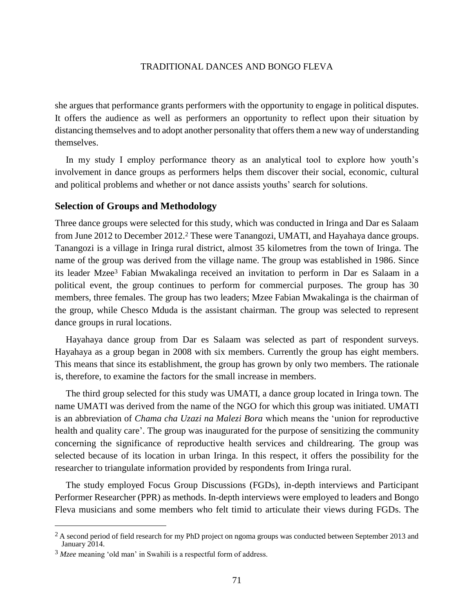she argues that performance grants performers with the opportunity to engage in political disputes. It offers the audience as well as performers an opportunity to reflect upon their situation by distancing themselves and to adopt another personality that offers them a new way of understanding themselves.

In my study I employ performance theory as an analytical tool to explore how youth's involvement in dance groups as performers helps them discover their social, economic, cultural and political problems and whether or not dance assists youths' search for solutions.

### **Selection of Groups and Methodology**

Three dance groups were selected for this study, which was conducted in Iringa and Dar es Salaam from June 2012 to December 2012. <sup>2</sup> These were Tanangozi, UMATI, and Hayahaya dance groups. Tanangozi is a village in Iringa rural district, almost 35 kilometres from the town of Iringa. The name of the group was derived from the village name. The group was established in 1986. Since its leader Mzee<sup>3</sup> Fabian Mwakalinga received an invitation to perform in Dar es Salaam in a political event, the group continues to perform for commercial purposes. The group has 30 members, three females. The group has two leaders; Mzee Fabian Mwakalinga is the chairman of the group, while Chesco Mduda is the assistant chairman. The group was selected to represent dance groups in rural locations.

Hayahaya dance group from Dar es Salaam was selected as part of respondent surveys. Hayahaya as a group began in 2008 with six members. Currently the group has eight members. This means that since its establishment, the group has grown by only two members. The rationale is, therefore, to examine the factors for the small increase in members.

The third group selected for this study was UMATI, a dance group located in Iringa town. The name UMATI was derived from the name of the NGO for which this group was initiated. UMATI is an abbreviation of *Chama cha Uzazi na Malezi Bora* which means the 'union for reproductive health and quality care'. The group was inaugurated for the purpose of sensitizing the community concerning the significance of reproductive health services and childrearing. The group was selected because of its location in urban Iringa. In this respect, it offers the possibility for the researcher to triangulate information provided by respondents from Iringa rural.

The study employed Focus Group Discussions (FGDs), in-depth interviews and Participant Performer Researcher (PPR) as methods. In-depth interviews were employed to leaders and Bongo Fleva musicians and some members who felt timid to articulate their views during FGDs. The

<sup>&</sup>lt;sup>2</sup> A second period of field research for my PhD project on ngoma groups was conducted between September 2013 and January 2014.

<sup>3</sup> *Mzee* meaning 'old man' in Swahili is a respectful form of address.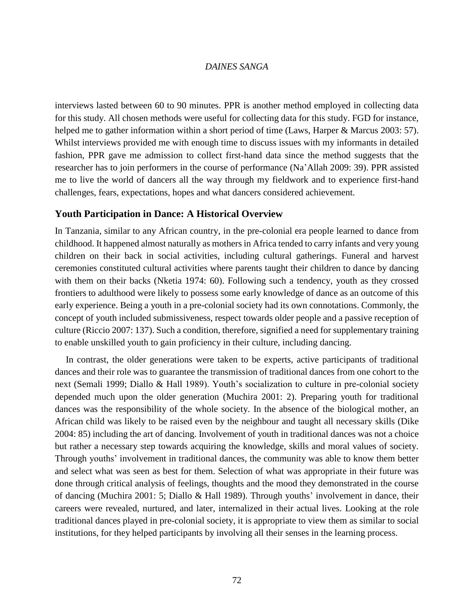interviews lasted between 60 to 90 minutes. PPR is another method employed in collecting data for this study. All chosen methods were useful for collecting data for this study. FGD for instance, helped me to gather information within a short period of time (Laws, Harper & Marcus 2003: 57). Whilst interviews provided me with enough time to discuss issues with my informants in detailed fashion, PPR gave me admission to collect first-hand data since the method suggests that the researcher has to join performers in the course of performance (Na'Allah 2009: 39). PPR assisted me to live the world of dancers all the way through my fieldwork and to experience first-hand challenges, fears, expectations, hopes and what dancers considered achievement.

# **Youth Participation in Dance: A Historical Overview**

In Tanzania, similar to any African country, in the pre-colonial era people learned to dance from childhood. It happened almost naturally as mothers in Africa tended to carry infants and very young children on their back in social activities, including cultural gatherings. Funeral and harvest ceremonies constituted cultural activities where parents taught their children to dance by dancing with them on their backs (Nketia 1974: 60). Following such a tendency, youth as they crossed frontiers to adulthood were likely to possess some early knowledge of dance as an outcome of this early experience. Being a youth in a pre-colonial society had its own connotations. Commonly, the concept of youth included submissiveness, respect towards older people and a passive reception of culture (Riccio 2007: 137). Such a condition, therefore, signified a need for supplementary training to enable unskilled youth to gain proficiency in their culture, including dancing.

In contrast, the older generations were taken to be experts, active participants of traditional dances and their role was to guarantee the transmission of traditional dances from one cohort to the next (Semali 1999; Diallo & Hall 1989). Youth's socialization to culture in pre-colonial society depended much upon the older generation (Muchira 2001: 2). Preparing youth for traditional dances was the responsibility of the whole society. In the absence of the biological mother, an African child was likely to be raised even by the neighbour and taught all necessary skills (Dike 2004: 85) including the art of dancing. Involvement of youth in traditional dances was not a choice but rather a necessary step towards acquiring the knowledge, skills and moral values of society. Through youths' involvement in traditional dances, the community was able to know them better and select what was seen as best for them. Selection of what was appropriate in their future was done through critical analysis of feelings, thoughts and the mood they demonstrated in the course of dancing (Muchira 2001: 5; Diallo & Hall 1989). Through youths' involvement in dance, their careers were revealed, nurtured, and later, internalized in their actual lives. Looking at the role traditional dances played in pre-colonial society, it is appropriate to view them as similar to social institutions, for they helped participants by involving all their senses in the learning process.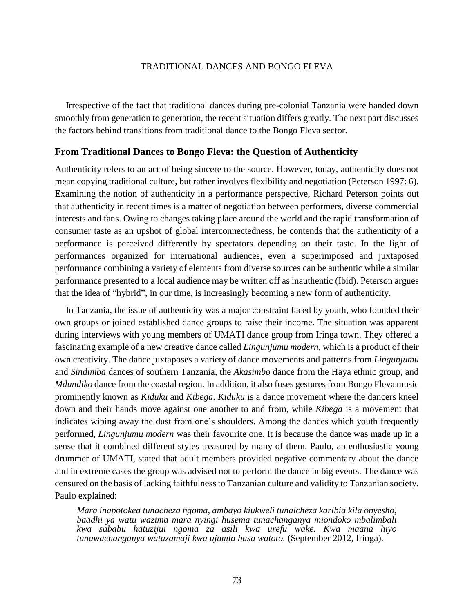Irrespective of the fact that traditional dances during pre-colonial Tanzania were handed down smoothly from generation to generation, the recent situation differs greatly. The next part discusses the factors behind transitions from traditional dance to the Bongo Fleva sector.

# **From Traditional Dances to Bongo Fleva: the Question of Authenticity**

Authenticity refers to an act of being sincere to the source. However, today, authenticity does not mean copying traditional culture, but rather involves flexibility and negotiation (Peterson 1997: 6). Examining the notion of authenticity in a performance perspective, Richard Peterson points out that authenticity in recent times is a matter of negotiation between performers, diverse commercial interests and fans. Owing to changes taking place around the world and the rapid transformation of consumer taste as an upshot of global interconnectedness, he contends that the authenticity of a performance is perceived differently by spectators depending on their taste. In the light of performances organized for international audiences, even a superimposed and juxtaposed performance combining a variety of elements from diverse sources can be authentic while a similar performance presented to a local audience may be written off as inauthentic (Ibid). Peterson argues that the idea of "hybrid", in our time, is increasingly becoming a new form of authenticity.

In Tanzania, the issue of authenticity was a major constraint faced by youth, who founded their own groups or joined established dance groups to raise their income. The situation was apparent during interviews with young members of UMATI dance group from Iringa town. They offered a fascinating example of a new creative dance called *Lingunjumu modern*, which is a product of their own creativity. The dance juxtaposes a variety of dance movements and patterns from *Lingunjumu* and *Sindimba* dances of southern Tanzania, the *Akasimbo* dance from the Haya ethnic group, and *Mdundiko* dance from the coastal region. In addition, it also fuses gestures from Bongo Fleva music prominently known as *Kiduku* and *Kibega*. *Kiduku* is a dance movement where the dancers kneel down and their hands move against one another to and from, while *Kibega* is a movement that indicates wiping away the dust from one's shoulders. Among the dances which youth frequently performed, *Lingunjumu modern* was their favourite one. It is because the dance was made up in a sense that it combined different styles treasured by many of them. Paulo, an enthusiastic young drummer of UMATI, stated that adult members provided negative commentary about the dance and in extreme cases the group was advised not to perform the dance in big events. The dance was censured on the basis of lacking faithfulness to Tanzanian culture and validity to Tanzanian society. Paulo explained:

*Mara inapotokea tunacheza ngoma, ambayo kiukweli tunaicheza karibia kila onyesho, baadhi ya watu wazima mara nyingi husema tunachanganya miondoko mbalimbali kwa sababu hatuzijui ngoma za asili kwa urefu wake. Kwa maana hiyo tunawachanganya watazamaji kwa ujumla hasa watoto.* (September 2012, Iringa).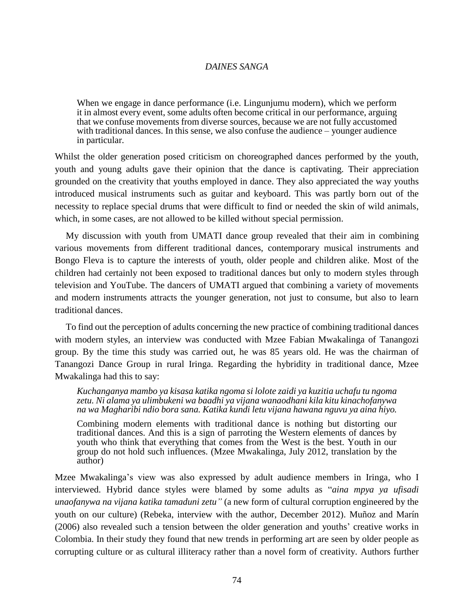When we engage in dance performance (i.e. Lingunjumu modern), which we perform it in almost every event, some adults often become critical in our performance, arguing that we confuse movements from diverse sources, because we are not fully accustomed with traditional dances. In this sense, we also confuse the audience – younger audience in particular.

Whilst the older generation posed criticism on choreographed dances performed by the youth, youth and young adults gave their opinion that the dance is captivating. Their appreciation grounded on the creativity that youths employed in dance. They also appreciated the way youths introduced musical instruments such as guitar and keyboard. This was partly born out of the necessity to replace special drums that were difficult to find or needed the skin of wild animals, which, in some cases, are not allowed to be killed without special permission.

My discussion with youth from UMATI dance group revealed that their aim in combining various movements from different traditional dances, contemporary musical instruments and Bongo Fleva is to capture the interests of youth, older people and children alike. Most of the children had certainly not been exposed to traditional dances but only to modern styles through television and YouTube. The dancers of UMATI argued that combining a variety of movements and modern instruments attracts the younger generation, not just to consume, but also to learn traditional dances.

To find out the perception of adults concerning the new practice of combining traditional dances with modern styles, an interview was conducted with Mzee Fabian Mwakalinga of Tanangozi group. By the time this study was carried out, he was 85 years old. He was the chairman of Tanangozi Dance Group in rural Iringa. Regarding the hybridity in traditional dance, Mzee Mwakalinga had this to say:

*Kuchanganya mambo ya kisasa katika ngoma si lolote zaidi ya kuzitia uchafu tu ngoma zetu. Ni alama ya ulimbukeni wa baadhi ya vijana wanaodhani kila kitu kinachofanywa na wa Magharibi ndio bora sana. Katika kundi letu vijana hawana nguvu ya aina hiyo.*

Combining modern elements with traditional dance is nothing but distorting our traditional dances. And this is a sign of parroting the Western elements of dances by youth who think that everything that comes from the West is the best. Youth in our group do not hold such influences. (Mzee Mwakalinga, July 2012, translation by the author)

Mzee Mwakalinga's view was also expressed by adult audience members in Iringa, who I interviewed. Hybrid dance styles were blamed by some adults as "*aina mpya ya ufisadi unaofanywa na vijana katika tamaduni zetu"* (a new form of cultural corruption engineered by the youth on our culture) (Rebeka, interview with the author, December 2012). Muñoz and Marín (2006) also revealed such a tension between the older generation and youths' creative works in Colombia. In their study they found that new trends in performing art are seen by older people as corrupting culture or as cultural illiteracy rather than a novel form of creativity. Authors further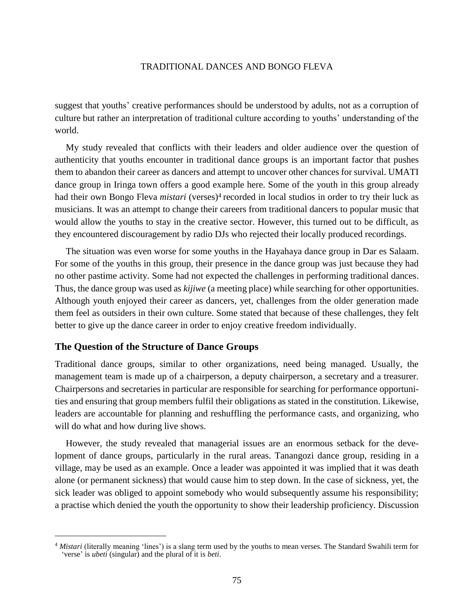suggest that youths' creative performances should be understood by adults, not as a corruption of culture but rather an interpretation of traditional culture according to youths' understanding of the world.

My study revealed that conflicts with their leaders and older audience over the question of authenticity that youths encounter in traditional dance groups is an important factor that pushes them to abandon their career as dancers and attempt to uncover other chances for survival. UMATI dance group in Iringa town offers a good example here. Some of the youth in this group already had their own Bongo Fleva *mistari* (verses) <sup>4</sup> recorded in local studios in order to try their luck as musicians. It was an attempt to change their careers from traditional dancers to popular music that would allow the youths to stay in the creative sector. However, this turned out to be difficult, as they encountered discouragement by radio DJs who rejected their locally produced recordings.

The situation was even worse for some youths in the Hayahaya dance group in Dar es Salaam. For some of the youths in this group, their presence in the dance group was just because they had no other pastime activity. Some had not expected the challenges in performing traditional dances. Thus, the dance group was used as *kijiwe* (a meeting place) while searching for other opportunities. Although youth enjoyed their career as dancers, yet, challenges from the older generation made them feel as outsiders in their own culture. Some stated that because of these challenges, they felt better to give up the dance career in order to enjoy creative freedom individually.

# **The Question of the Structure of Dance Groups**

 $\overline{a}$ 

Traditional dance groups, similar to other organizations, need being managed. Usually, the management team is made up of a chairperson, a deputy chairperson, a secretary and a treasurer. Chairpersons and secretaries in particular are responsible for searching for performance opportunities and ensuring that group members fulfil their obligations as stated in the constitution. Likewise, leaders are accountable for planning and reshuffling the performance casts, and organizing, who will do what and how during live shows.

However, the study revealed that managerial issues are an enormous setback for the development of dance groups, particularly in the rural areas. Tanangozi dance group, residing in a village, may be used as an example. Once a leader was appointed it was implied that it was death alone (or permanent sickness) that would cause him to step down. In the case of sickness, yet, the sick leader was obliged to appoint somebody who would subsequently assume his responsibility; a practise which denied the youth the opportunity to show their leadership proficiency. Discussion

<sup>&</sup>lt;sup>4</sup> Mistari (literally meaning 'lines') is a slang term used by the youths to mean verses. The Standard Swahili term for 'verse' is *ubeti* (singular) and the plural of it is *beti*.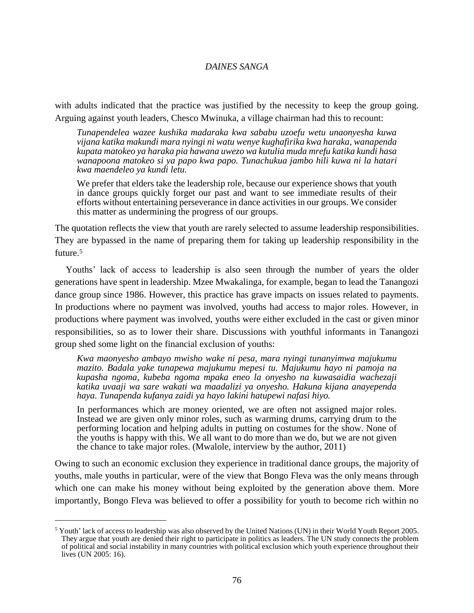with adults indicated that the practice was justified by the necessity to keep the group going. Arguing against youth leaders, Chesco Mwinuka, a village chairman had this to recount:

*Tunapendelea wazee kushika madaraka kwa sababu uzoefu wetu unaonyesha kuwa vijana katika makundi mara nyingi ni watu wenye kughafirika kwa haraka, wanapenda kupata matokeo ya haraka pia hawana uwezo wa kutulia muda mrefu katika kundi hasa wanapoona matokeo si ya papo kwa papo. Tunachukua jambo hili kuwa ni la hatari kwa maendeleo ya kundi letu.*

We prefer that elders take the leadership role, because our experience shows that youth in dance groups quickly forget our past and want to see immediate results of their efforts without entertaining perseverance in dance activities in our groups. We consider this matter as undermining the progress of our groups.

The quotation reflects the view that youth are rarely selected to assume leadership responsibilities. They are bypassed in the name of preparing them for taking up leadership responsibility in the future. 5

Youths' lack of access to leadership is also seen through the number of years the older generations have spent in leadership. Mzee Mwakalinga, for example, began to lead the Tanangozi dance group since 1986. However, this practice has grave impacts on issues related to payments. In productions where no payment was involved, youths had access to major roles. However, in productions where payment was involved, youths were either excluded in the cast or given minor responsibilities, so as to lower their share. Discussions with youthful informants in Tanangozi group shed some light on the financial exclusion of youths:

*Kwa maonyesho ambayo mwisho wake ni pesa, mara nyingi tunanyimwa majukumu mazito. Badala yake tunapewa majukumu mepesi tu. Majukumu hayo ni pamoja na kupasha ngoma, kubeba ngoma mpaka eneo la onyesho na kuwasaidia wachezaji katika uvaaji wa sare wakati wa maadalizi ya onyesho. Hakuna kijana anayependa haya. Tunapenda kufanya zaidi ya hayo lakini hatupewi nafasi hiyo.*

In performances which are money oriented, we are often not assigned major roles. Instead we are given only minor roles, such as warming drums, carrying drum to the performing location and helping adults in putting on costumes for the show. None of the youths is happy with this. We all want to do more than we do, but we are not given the chance to take major roles. (Mwalole, interview by the author, 2011)

Owing to such an economic exclusion they experience in traditional dance groups, the majority of youths, male youths in particular, were of the view that Bongo Fleva was the only means through which one can make his money without being exploited by the generation above them. More importantly, Bongo Fleva was believed to offer a possibility for youth to become rich within no

<sup>5</sup> Youth' lack of access to leadership was also observed by the United Nations (UN) in their World Youth Report 2005. They argue that youth are denied their right to participate in politics as leaders. The UN study connects the problem of political and social instability in many countries with political exclusion which youth experience throughout their lives (UN 2005: 16).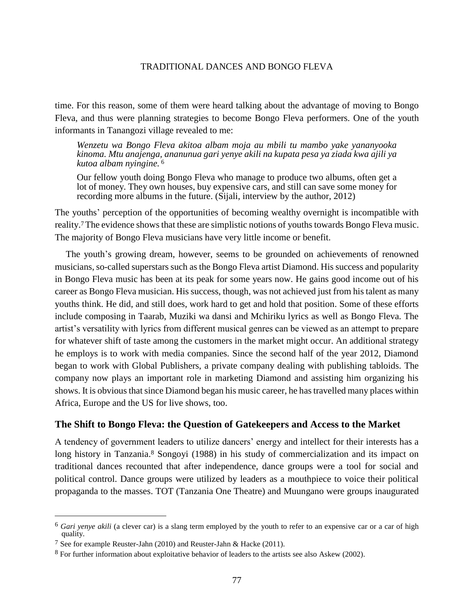time. For this reason, some of them were heard talking about the advantage of moving to Bongo Fleva, and thus were planning strategies to become Bongo Fleva performers. One of the youth informants in Tanangozi village revealed to me:

*Wenzetu wa Bongo Fleva akitoa albam moja au mbili tu mambo yake yananyooka kinoma. Mtu anajenga, ananunua gari yenye akili na kupata pesa ya ziada kwa ajili ya kutoa albam nyingine.* <sup>6</sup>

Our fellow youth doing Bongo Fleva who manage to produce two albums, often get a lot of money. They own houses, buy expensive cars, and still can save some money for recording more albums in the future. (Sijali, interview by the author, 2012)

The youths' perception of the opportunities of becoming wealthy overnight is incompatible with reality.<sup>7</sup> The evidence shows that these are simplistic notions of youths towards Bongo Fleva music. The majority of Bongo Fleva musicians have very little income or benefit.

The youth's growing dream, however, seems to be grounded on achievements of renowned musicians, so-called superstars such as the Bongo Fleva artist Diamond. His success and popularity in Bongo Fleva music has been at its peak for some years now. He gains good income out of his career as Bongo Fleva musician. His success, though, was not achieved just from his talent as many youths think. He did, and still does, work hard to get and hold that position. Some of these efforts include composing in Taarab, Muziki wa dansi and Mchiriku lyrics as well as Bongo Fleva. The artist's versatility with lyrics from different musical genres can be viewed as an attempt to prepare for whatever shift of taste among the customers in the market might occur. An additional strategy he employs is to work with media companies. Since the second half of the year 2012, Diamond began to work with Global Publishers, a private company dealing with publishing tabloids. The company now plays an important role in marketing Diamond and assisting him organizing his shows. It is obvious that since Diamond began his music career, he has travelled many places within Africa, Europe and the US for live shows, too.

# **The Shift to Bongo Fleva: the Question of Gatekeepers and Access to the Market**

A tendency of government leaders to utilize dancers' energy and intellect for their interests has a long history in Tanzania.<sup>8</sup> Songoyi (1988) in his study of commercialization and its impact on traditional dances recounted that after independence, dance groups were a tool for social and political control. Dance groups were utilized by leaders as a mouthpiece to voice their political propaganda to the masses. TOT (Tanzania One Theatre) and Muungano were groups inaugurated

<sup>6</sup> *Gari yenye akili* (a clever car) is a slang term employed by the youth to refer to an expensive car or a car of high quality.

<sup>7</sup> See for example Reuster-Jahn (2010) and Reuster-Jahn & Hacke (2011).

<sup>8</sup> For further information about exploitative behavior of leaders to the artists see also Askew (2002).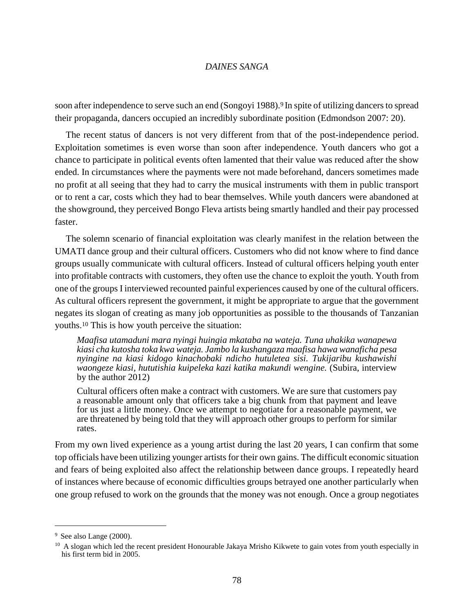soon after independence to serve such an end (Songoyi 1988). <sup>9</sup> In spite of utilizing dancers to spread their propaganda, dancers occupied an incredibly subordinate position (Edmondson 2007: 20).

The recent status of dancers is not very different from that of the post-independence period. Exploitation sometimes is even worse than soon after independence. Youth dancers who got a chance to participate in political events often lamented that their value was reduced after the show ended. In circumstances where the payments were not made beforehand, dancers sometimes made no profit at all seeing that they had to carry the musical instruments with them in public transport or to rent a car, costs which they had to bear themselves. While youth dancers were abandoned at the showground, they perceived Bongo Fleva artists being smartly handled and their pay processed faster.

The solemn scenario of financial exploitation was clearly manifest in the relation between the UMATI dance group and their cultural officers. Customers who did not know where to find dance groups usually communicate with cultural officers. Instead of cultural officers helping youth enter into profitable contracts with customers, they often use the chance to exploit the youth. Youth from one of the groups I interviewed recounted painful experiences caused by one of the cultural officers. As cultural officers represent the government, it might be appropriate to argue that the government negates its slogan of creating as many job opportunities as possible to the thousands of Tanzanian youths. <sup>10</sup> This is how youth perceive the situation:

*Maafisa utamaduni mara nyingi huingia mkataba na wateja. Tuna uhakika wanapewa kiasi cha kutosha toka kwa wateja. Jambo la kushangaza maafisa hawa wanaficha pesa nyingine na kiasi kidogo kinachobaki ndicho hutuletea sisi. Tukijaribu kushawishi waongeze kiasi, hututishia kuipeleka kazi katika makundi wengine.* (Subira, interview by the author 2012)

Cultural officers often make a contract with customers. We are sure that customers pay a reasonable amount only that officers take a big chunk from that payment and leave for us just a little money. Once we attempt to negotiate for a reasonable payment, we are threatened by being told that they will approach other groups to perform for similar rates.

From my own lived experience as a young artist during the last 20 years, I can confirm that some top officials have been utilizing younger artists for their own gains. The difficult economic situation and fears of being exploited also affect the relationship between dance groups. I repeatedly heard of instances where because of economic difficulties groups betrayed one another particularly when one group refused to work on the grounds that the money was not enough. Once a group negotiates

 $9$  See also Lange (2000).

 $10$  A slogan which led the recent president Honourable Jakaya Mrisho Kikwete to gain votes from youth especially in his first term bid in 2005.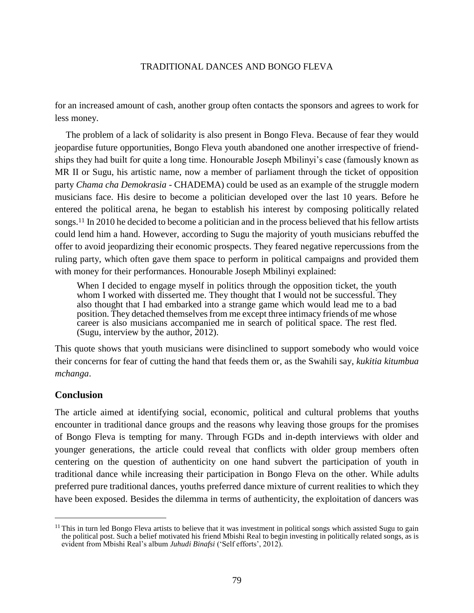for an increased amount of cash, another group often contacts the sponsors and agrees to work for less money.

The problem of a lack of solidarity is also present in Bongo Fleva. Because of fear they would jeopardise future opportunities, Bongo Fleva youth abandoned one another irrespective of friendships they had built for quite a long time. Honourable Joseph Mbilinyi's case (famously known as MR II or Sugu, his artistic name, now a member of parliament through the ticket of opposition party *Chama cha Demokrasia* - CHADEMA) could be used as an example of the struggle modern musicians face. His desire to become a politician developed over the last 10 years. Before he entered the political arena, he began to establish his interest by composing politically related songs.<sup>11</sup> In 2010 he decided to become a politician and in the process believed that his fellow artists could lend him a hand. However, according to Sugu the majority of youth musicians rebuffed the offer to avoid jeopardizing their economic prospects. They feared negative repercussions from the ruling party, which often gave them space to perform in political campaigns and provided them with money for their performances. Honourable Joseph Mbilinyi explained:

When I decided to engage myself in politics through the opposition ticket, the youth whom I worked with disserted me. They thought that I would not be successful. They also thought that I had embarked into a strange game which would lead me to a bad position. They detached themselves from me except three intimacy friends of me whose career is also musicians accompanied me in search of political space. The rest fled. (Sugu, interview by the author, 2012).

This quote shows that youth musicians were disinclined to support somebody who would voice their concerns for fear of cutting the hand that feeds them or, as the Swahili say, *kukitia kitumbua mchanga*.

# **Conclusion**

 $\overline{a}$ 

The article aimed at identifying social, economic, political and cultural problems that youths encounter in traditional dance groups and the reasons why leaving those groups for the promises of Bongo Fleva is tempting for many. Through FGDs and in-depth interviews with older and younger generations, the article could reveal that conflicts with older group members often centering on the question of authenticity on one hand subvert the participation of youth in traditional dance while increasing their participation in Bongo Fleva on the other. While adults preferred pure traditional dances, youths preferred dance mixture of current realities to which they have been exposed. Besides the dilemma in terms of authenticity, the exploitation of dancers was

 $11$  This in turn led Bongo Fleva artists to believe that it was investment in political songs which assisted Sugu to gain the political post. Such a belief motivated his friend Mbishi Real to begin investing in politically related songs, as is evident from Mbishi Real's album *Juhudi Binafsi* ('Self efforts', 2012).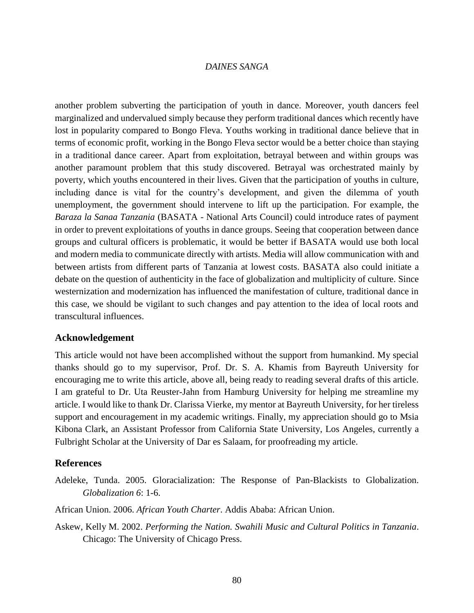another problem subverting the participation of youth in dance. Moreover, youth dancers feel marginalized and undervalued simply because they perform traditional dances which recently have lost in popularity compared to Bongo Fleva. Youths working in traditional dance believe that in terms of economic profit, working in the Bongo Fleva sector would be a better choice than staying in a traditional dance career. Apart from exploitation, betrayal between and within groups was another paramount problem that this study discovered. Betrayal was orchestrated mainly by poverty, which youths encountered in their lives. Given that the participation of youths in culture, including dance is vital for the country's development, and given the dilemma of youth unemployment, the government should intervene to lift up the participation. For example, the *Baraza la Sanaa Tanzania* (BASATA - National Arts Council) could introduce rates of payment in order to prevent exploitations of youths in dance groups. Seeing that cooperation between dance groups and cultural officers is problematic, it would be better if BASATA would use both local and modern media to communicate directly with artists. Media will allow communication with and between artists from different parts of Tanzania at lowest costs. BASATA also could initiate a debate on the question of authenticity in the face of globalization and multiplicity of culture. Since westernization and modernization has influenced the manifestation of culture, traditional dance in this case, we should be vigilant to such changes and pay attention to the idea of local roots and transcultural influences.

### **Acknowledgement**

This article would not have been accomplished without the support from humankind. My special thanks should go to my supervisor, Prof. Dr. S. A. Khamis from Bayreuth University for encouraging me to write this article, above all, being ready to reading several drafts of this article. I am grateful to Dr. Uta Reuster-Jahn from Hamburg University for helping me streamline my article. I would like to thank Dr. Clarissa Vierke, my mentor at Bayreuth University, for her tireless support and encouragement in my academic writings. Finally, my appreciation should go to Msia Kibona Clark, an Assistant Professor from California State University, Los Angeles, currently a Fulbright Scholar at the University of Dar es Salaam, for proofreading my article.

### **References**

- Adeleke, Tunda. 2005. Gloracialization: The Response of Pan-Blackists to Globalization. *Globalization 6*: 1-6.
- African Union. 2006. *African Youth Charter*. Addis Ababa: African Union.
- Askew, Kelly M. 2002. *Performing the Nation. Swahili Music and Cultural Politics in Tanzania*. Chicago: The University of Chicago Press.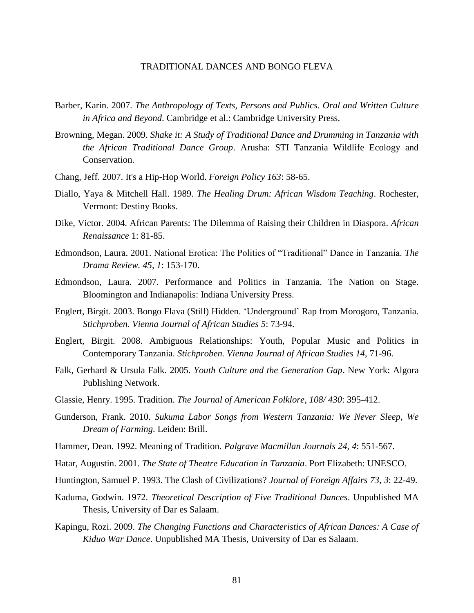- Barber, Karin. 2007. *The Anthropology of Texts, Persons and Publics. Oral and Written Culture in Africa and Beyond*. Cambridge et al.: Cambridge University Press.
- Browning, Megan. 2009. *Shake it: A Study of Traditional Dance and Drumming in Tanzania with the African Traditional Dance Group*. Arusha: STI Tanzania Wildlife Ecology and Conservation.
- Chang, Jeff. 2007. It's a Hip-Hop World. *Foreign Policy 163*: 58-65.
- Diallo, Yaya & Mitchell Hall. 1989. *The Healing Drum: African Wisdom Teaching*. Rochester, Vermont: Destiny Books.
- Dike, Victor. 2004. African Parents: The Dilemma of Raising their Children in Diaspora. *African Renaissance* 1: 81-85.
- Edmondson, Laura. 2001. National Erotica: The Politics of "Traditional" Dance in Tanzania. *The Drama Review. 45, 1*: 153-170.
- Edmondson, Laura. 2007. Performance and Politics in Tanzania. The Nation on Stage. Bloomington and Indianapolis: Indiana University Press.
- Englert, Birgit. 2003. Bongo Flava (Still) Hidden. 'Underground' Rap from Morogoro, Tanzania. *Stichproben. Vienna Journal of African Studies 5*: 73-94.
- Englert, Birgit. 2008. Ambiguous Relationships: Youth, Popular Music and Politics in Contemporary Tanzania. *Stichproben. Vienna Journal of African Studies 14*, 71-96.
- Falk, Gerhard & Ursula Falk. 2005. *Youth Culture and the Generation Gap*. New York: Algora Publishing Network.
- Glassie, Henry. 1995. Tradition. *The Journal of American Folklore, 108/ 430*: 395-412.
- Gunderson, Frank. 2010. *Sukuma Labor Songs from Western Tanzania: We Never Sleep, We Dream of Farming*. Leiden: Brill.
- Hammer, Dean. 1992. Meaning of Tradition. *Palgrave Macmillan Journals 24, 4*: 551-567.
- Hatar, Augustin. 2001. *The State of Theatre Education in Tanzania*. Port Elizabeth: UNESCO.
- Huntington, Samuel P. 1993. The Clash of Civilizations? *Journal of Foreign Affairs 73, 3*: 22-49.
- Kaduma, Godwin. 1972. *Theoretical Description of Five Traditional Dances*. Unpublished MA Thesis, University of Dar es Salaam.
- Kapingu, Rozi. 2009. *The Changing Functions and Characteristics of African Dances: A Case of Kiduo War Dance*. Unpublished MA Thesis, University of Dar es Salaam.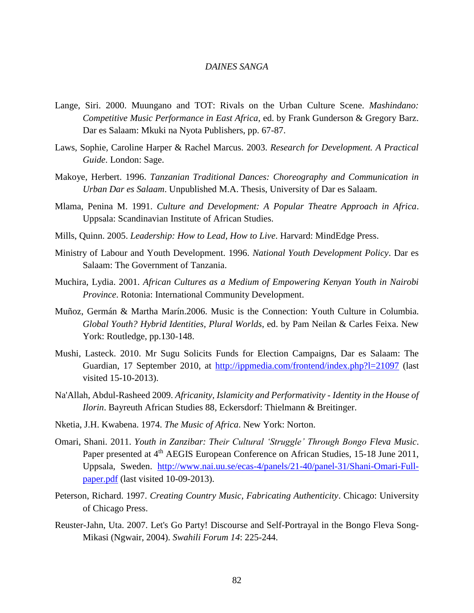- Lange, Siri. 2000. Muungano and TOT: Rivals on the Urban Culture Scene. *Mashindano: Competitive Music Performance in East Africa,* ed. by Frank Gunderson & Gregory Barz. Dar es Salaam: Mkuki na Nyota Publishers, pp. 67-87.
- Laws, Sophie, Caroline Harper & Rachel Marcus. 2003. *Research for Development. A Practical Guide*. London: Sage.
- Makoye, Herbert. 1996. *Tanzanian Traditional Dances: Choreography and Communication in Urban Dar es Salaam*. Unpublished M.A. Thesis, University of Dar es Salaam.
- Mlama, Penina M. 1991. *Culture and Development: A Popular Theatre Approach in Africa*. Uppsala: Scandinavian Institute of African Studies.
- Mills, Quinn. 2005. *Leadership: How to Lead, How to Live*. Harvard: MindEdge Press.
- Ministry of Labour and Youth Development. 1996. *National Youth Development Policy*. Dar es Salaam: The Government of Tanzania.
- Muchira, Lydia. 2001. *African Cultures as a Medium of Empowering Kenyan Youth in Nairobi Province*. Rotonia: International Community Development.
- Muñoz, Germán & Martha Marín.2006. Music is the Connection: Youth Culture in Columbia. *Global Youth? Hybrid Identities, Plural Worlds*, ed. by Pam Neilan & Carles Feixa. New York: Routledge, pp.130-148.
- Mushi, Lasteck. 2010. Mr Sugu Solicits Funds for Election Campaigns, Dar es Salaam: The Guardian, 17 September 2010, at <http://ippmedia.com/frontend/index.php?l=21097> (last visited 15-10-2013).
- Na'Allah, Abdul-Rasheed 2009. *Africanity, Islamicity and Performativity - Identity in the House of Ilorin*. Bayreuth African Studies 88, Eckersdorf: Thielmann & Breitinger.
- Nketia, J.H. Kwabena. 1974. *The Music of Africa*. New York: Norton.
- Omari, Shani. 2011. *Youth in Zanzibar: Their Cultural 'Struggle' Through Bongo Fleva Music*. Paper presented at 4<sup>th</sup> AEGIS European Conference on African Studies, 15-18 June 2011, Uppsala, Sweden. [http://www.nai.uu.se/ecas-4/panels/21-40/panel-31/Shani-Omari-Full](http://www.nai.uu.se/ecas-4/panels/21-40/panel-31/Shani-Omari-Full-paper.pdf)[paper.pdf](http://www.nai.uu.se/ecas-4/panels/21-40/panel-31/Shani-Omari-Full-paper.pdf) (last visited 10-09-2013).
- Peterson, Richard. 1997. *Creating Country Music, Fabricating Authenticity*. Chicago: University of Chicago Press.
- Reuster-Jahn, Uta. 2007. Let's Go Party! Discourse and Self-Portrayal in the Bongo Fleva Song-Mikasi (Ngwair, 2004). *Swahili Forum 14*: 225-244.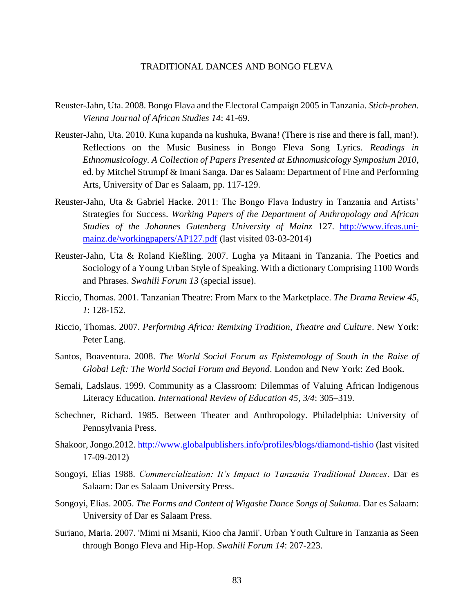- Reuster-Jahn, Uta. 2008. Bongo Flava and the Electoral Campaign 2005 in Tanzania. *Stich-proben. Vienna Journal of African Studies 14*: 41-69.
- Reuster-Jahn, Uta. 2010. Kuna kupanda na kushuka, Bwana! (There is rise and there is fall, man!). Reflections on the Music Business in Bongo Fleva Song Lyrics. *Readings in Ethnomusicology. A Collection of Papers Presented at Ethnomusicology Symposium 2010*, ed. by Mitchel Strumpf & Imani Sanga. Dar es Salaam: Department of Fine and Performing Arts, University of Dar es Salaam, pp. 117-129.
- Reuster-Jahn, Uta & Gabriel Hacke. 2011: The Bongo Flava Industry in Tanzania and Artists' Strategies for Success. *Working Papers of the Department of Anthropology and African Studies of the Johannes Gutenberg University of Mainz* 127. [http://www.ifeas.uni](http://www.ifeas.uni‐mainz.de/workingpapers/AP127.pdf)‐ [mainz.de/workingpapers/AP127.pdf](http://www.ifeas.uni‐mainz.de/workingpapers/AP127.pdf) (last visited 03-03-2014)
- Reuster-Jahn, Uta & Roland Kießling. 2007. Lugha ya Mitaani in Tanzania. The Poetics and Sociology of a Young Urban Style of Speaking. With a dictionary Comprising 1100 Words and Phrases. *Swahili Forum 13* (special issue).
- Riccio, Thomas. 2001. Tanzanian Theatre: From Marx to the Marketplace. *The Drama Review 45, 1*: 128-152.
- Riccio, Thomas. 2007. *Performing Africa: Remixing Tradition, Theatre and Culture*. New York: Peter Lang.
- Santos, Boaventura. 2008. *The World Social Forum as Epistemology of South in the Raise of Global Left: The World Social Forum and Beyond*. London and New York: Zed Book.
- Semali, Ladslaus. 1999. Community as a Classroom: Dilemmas of Valuing African Indigenous Literacy Education. *International Review of Education 45, 3/4*: 305–319.
- Schechner, Richard. 1985. Between Theater and Anthropology. Philadelphia: University of Pennsylvania Press.
- Shakoor, Jongo.2012.<http://www.globalpublishers.info/profiles/blogs/diamond-tishio> (last visited 17-09-2012)
- Songoyi, Elias 1988. *Commercialization: It's Impact to Tanzania Traditional Dances*. Dar es Salaam: Dar es Salaam University Press.
- Songoyi, Elias. 2005. *The Forms and Content of Wigashe Dance Songs of Sukuma*. Dar es Salaam: University of Dar es Salaam Press.
- Suriano, Maria. 2007. 'Mimi ni Msanii, Kioo cha Jamii'. Urban Youth Culture in Tanzania as Seen through Bongo Fleva and Hip-Hop. *Swahili Forum 14*: 207-223.